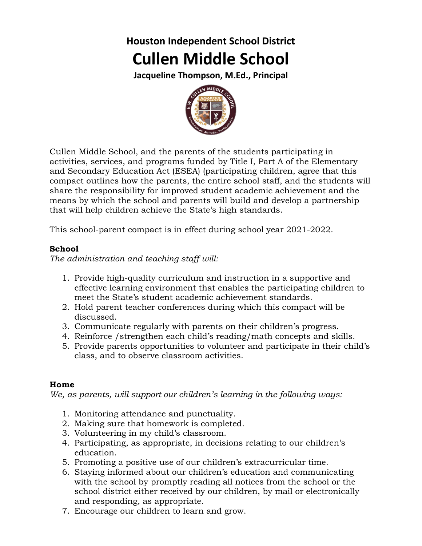## **Houston Independent School District Cullen Middle School**

**Jacqueline Thompson, M.Ed., Principal**



Cullen Middle School, and the parents of the students participating in activities, services, and programs funded by Title I, Part A of the Elementary and Secondary Education Act (ESEA) (participating children, agree that this compact outlines how the parents, the entire school staff, and the students will share the responsibility for improved student academic achievement and the means by which the school and parents will build and develop a partnership that will help children achieve the State's high standards.

This school-parent compact is in effect during school year 2021-2022.

## **School**

*The administration and teaching staff will:*

- 1. Provide high-quality curriculum and instruction in a supportive and effective learning environment that enables the participating children to meet the State's student academic achievement standards.
- 2. Hold parent teacher conferences during which this compact will be discussed.
- 3. Communicate regularly with parents on their children's progress.
- 4. Reinforce /strengthen each child's reading/math concepts and skills.
- 5. Provide parents opportunities to volunteer and participate in their child's class, and to observe classroom activities.

## **Home**

*We, as parents, will support our children's learning in the following ways:*

- 1. Monitoring attendance and punctuality.
- 2. Making sure that homework is completed.
- 3. Volunteering in my child's classroom.
- 4. Participating, as appropriate, in decisions relating to our children's education.
- 5. Promoting a positive use of our children's extracurricular time.
- 6. Staying informed about our children's education and communicating with the school by promptly reading all notices from the school or the school district either received by our children, by mail or electronically and responding, as appropriate.
- 7. Encourage our children to learn and grow.